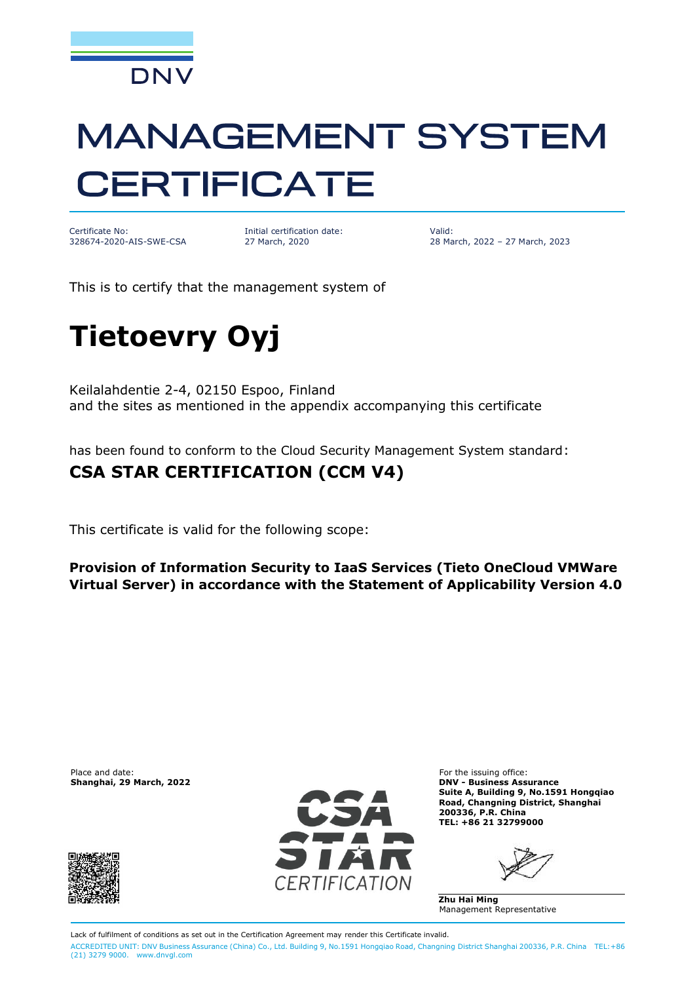

# **MANAGEMENT SYSTEM CERTIFICATE**

Certificate No: 328674-2020-AIS-SWE-CSA Initial certification date: 27 March, 2020

Valid: 28 March, 2022 – 27 March, 2023

This is to certify that the management system of

## **Tietoevry Oyj**

Keilalahdentie 2-4, 02150 Espoo, Finland and the sites as mentioned in the appendix accompanying this certificate

has been found to conform to the Cloud Security Management System standard:

#### **CSA STAR CERTIFICATION (CCM V4)**

This certificate is valid for the following scope:

**Provision of Information Security to IaaS Services (Tieto OneCloud VMWare Virtual Server) in accordance with the Statement of Applicability Version 4.0**

Place and date: For the issuing office:<br> **Shanghai, 29 March, 2022** Connection of the issuing office: **Shanghai, 29 March, 2022** 





**Shanghai, 29 March, 2022 DNV - Business Assurance Suite A, Building 9, No.1591 Hongqiao Road, Changning District, Shanghai 200336, P.R. China TEL: +86 21 32799000**

**Zhu Hai Ming** Management Representative

Lack of fulfilment of conditions as set out in the Certification Agreement may render this Certificate invalid. ACCREDITED UNIT: DNV Business Assurance (China) Co., Ltd. Building 9, No.1591 Hongqiao Road, Changning District Shanghai 200336, P.R. China TEL:+86 (21) 3279 9000. [www.dnvgl.com](http://www.dnvgl.com)